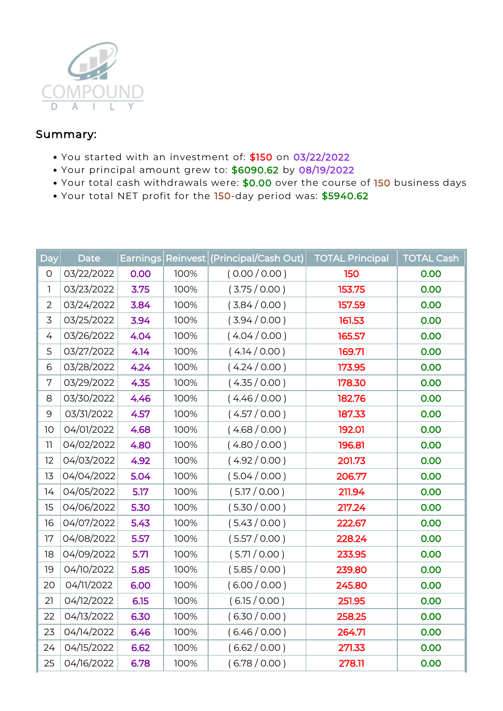

## Summary:

- You started with an investment of: \$150 on 03/22/2022
- Your principal amount grew to: \$6090.62 by 08/19/2022
- Your total cash withdrawals were: \$0.00 over the course of 150 business days
- Your total NET profit for the 150-day period was: \$5940.62

| Day            | <b>Date</b> | Earnings |      | Reinvest (Principal/Cash Out) | <b>TOTAL Principal</b> | <b>TOTAL Cash</b> |
|----------------|-------------|----------|------|-------------------------------|------------------------|-------------------|
| $\mathsf O$    | 03/22/2022  | 0.00     | 100% | (0.00 / 0.00)                 | 150                    | 0.00              |
| 1              | 03/23/2022  | 3.75     | 100% | (3.75/0.00)                   | 153.75                 | 0.00              |
| $\overline{2}$ | 03/24/2022  | 3.84     | 100% | (3.84/0.00)                   | 157.59                 | 0.00              |
| 3              | 03/25/2022  | 3.94     | 100% | (3.94/0.00)                   | 161.53                 | 0.00              |
| 4              | 03/26/2022  | 4.04     | 100% | (4.04/0.00)                   | 165.57                 | 0.00              |
| 5              | 03/27/2022  | 4.14     | 100% | (4.14/0.00)                   | 169.71                 | 0.00              |
| 6              | 03/28/2022  | 4.24     | 100% | (4.24/0.00)                   | 173.95                 | 0.00              |
| 7              | 03/29/2022  | 4.35     | 100% | (4.35/0.00)                   | 178.30                 | 0.00              |
| 8              | 03/30/2022  | 4.46     | 100% | (4.46/0.00)                   | 182.76                 | 0.00              |
| 9              | 03/31/2022  | 4.57     | 100% | (4.57/0.00)                   | 187.33                 | 0.00              |
| 10             | 04/01/2022  | 4.68     | 100% | (4.68/0.00)                   | 192.01                 | 0.00              |
| 11             | 04/02/2022  | 4.80     | 100% | (4.80/0.00)                   | 196.81                 | 0.00              |
| 12             | 04/03/2022  | 4.92     | 100% | (4.92/0.00)                   | 201.73                 | 0.00              |
| 13             | 04/04/2022  | 5.04     | 100% | (5.04/0.00)                   | 206.77                 | 0.00              |
| 14             | 04/05/2022  | 5.17     | 100% | (5.17/0.00)                   | 211.94                 | 0.00              |
| 15             | 04/06/2022  | 5.30     | 100% | (5.30 / 0.00)                 | 217.24                 | 0.00              |
| 16             | 04/07/2022  | 5.43     | 100% | (5.43/0.00)                   | 222.67                 | 0.00              |
| 17             | 04/08/2022  | 5.57     | 100% | (5.57/0.00)                   | 228.24                 | 0.00              |
| 18             | 04/09/2022  | 5.71     | 100% | (5.71/0.00)                   | 233.95                 | 0.00              |
| 19             | 04/10/2022  | 5.85     | 100% | (5.85 / 0.00)                 | 239.80                 | 0.00              |
| 20             | 04/11/2022  | 6.00     | 100% | (6.00 / 0.00)                 | 245.80                 | 0.00              |
| 21             | 04/12/2022  | 6.15     | 100% | (6.15/0.00)                   | 251.95                 | 0.00              |
| 22             | 04/13/2022  | 6.30     | 100% | (6.30 / 0.00)                 | 258.25                 | 0.00              |
| 23             | 04/14/2022  | 6.46     | 100% | (6.46/0.00)                   | 264.71                 | 0.00              |
| 24             | 04/15/2022  | 6.62     | 100% | (6.62 / 0.00)                 | 271.33                 | 0.00              |
| 25             | 04/16/2022  | 6.78     | 100% | (6.78/0.00)                   | 278.11                 | 0.00              |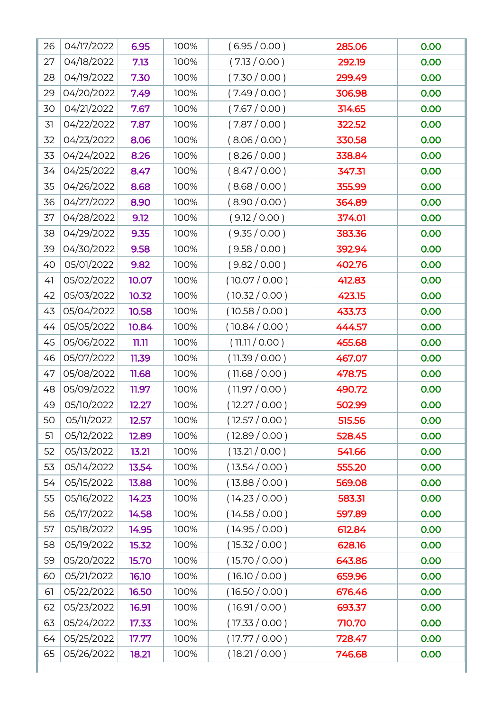| 26 | 04/17/2022 | 6.95  | 100% | (6.95/0.00)    | 285.06 | 0.00 |
|----|------------|-------|------|----------------|--------|------|
| 27 | 04/18/2022 | 7.13  | 100% | (7.13 / 0.00)  | 292.19 | 0.00 |
| 28 | 04/19/2022 | 7.30  | 100% | (7.30 / 0.00)  | 299.49 | 0.00 |
| 29 | 04/20/2022 | 7.49  | 100% | (7.49/0.00)    | 306.98 | 0.00 |
| 30 | 04/21/2022 | 7.67  | 100% | (7.67 / 0.00)  | 314.65 | 0.00 |
| 31 | 04/22/2022 | 7.87  | 100% | (7.87/0.00)    | 322.52 | 0.00 |
| 32 | 04/23/2022 | 8.06  | 100% | (8.06/0.00)    | 330.58 | 0.00 |
| 33 | 04/24/2022 | 8.26  | 100% | (8.26 / 0.00)  | 338.84 | 0.00 |
| 34 | 04/25/2022 | 8.47  | 100% | (8.47/0.00)    | 347.31 | 0.00 |
| 35 | 04/26/2022 | 8.68  | 100% | (8.68/0.00)    | 355.99 | 0.00 |
| 36 | 04/27/2022 | 8.90  | 100% | (8.90 / 0.00)  | 364.89 | 0.00 |
| 37 | 04/28/2022 | 9.12  | 100% | (9.12 / 0.00)  | 374.01 | 0.00 |
| 38 | 04/29/2022 | 9.35  | 100% | (9.35 / 0.00)  | 383.36 | 0.00 |
| 39 | 04/30/2022 | 9.58  | 100% | (9.58 / 0.00)  | 392.94 | 0.00 |
| 40 | 05/01/2022 | 9.82  | 100% | (9.82 / 0.00)  | 402.76 | 0.00 |
| 41 | 05/02/2022 | 10.07 | 100% | (10.07 / 0.00) | 412.83 | 0.00 |
| 42 | 05/03/2022 | 10.32 | 100% | (10.32 / 0.00) | 423.15 | 0.00 |
| 43 | 05/04/2022 | 10.58 | 100% | (10.58 / 0.00) | 433.73 | 0.00 |
| 44 | 05/05/2022 | 10.84 | 100% | (10.84 / 0.00) | 444.57 | 0.00 |
| 45 | 05/06/2022 | 11.11 | 100% | (11.11 / 0.00) | 455.68 | 0.00 |
| 46 | 05/07/2022 | 11.39 | 100% | (11.39 / 0.00) | 467.07 | 0.00 |
| 47 | 05/08/2022 | 11.68 | 100% | (11.68 / 0.00) | 478.75 | 0.00 |
| 48 | 05/09/2022 | 11.97 | 100% | (11.97 / 0.00) | 490.72 | 0.00 |
| 49 | 05/10/2022 | 12.27 | 100% | (12.27 / 0.00) | 502.99 | 0.00 |
| 50 | 05/11/2022 | 12.57 | 100% | (12.57 / 0.00) | 515.56 | 0.00 |
| 51 | 05/12/2022 | 12.89 | 100% | (12.89 / 0.00) | 528.45 | 0.00 |
| 52 | 05/13/2022 | 13.21 | 100% | (13.21 / 0.00) | 541.66 | 0.00 |
| 53 | 05/14/2022 | 13.54 | 100% | (13.54 / 0.00) | 555.20 | 0.00 |
| 54 | 05/15/2022 | 13.88 | 100% | (13.88 / 0.00) | 569.08 | 0.00 |
| 55 | 05/16/2022 | 14.23 | 100% | (14.23 / 0.00) | 583.31 | 0.00 |
| 56 | 05/17/2022 | 14.58 | 100% | (14.58 / 0.00) | 597.89 | 0.00 |
| 57 | 05/18/2022 | 14.95 | 100% | (14.95 / 0.00) | 612.84 | 0.00 |
| 58 | 05/19/2022 | 15.32 | 100% | (15.32 / 0.00) | 628.16 | 0.00 |
| 59 | 05/20/2022 | 15.70 | 100% | (15.70 / 0.00) | 643.86 | 0.00 |
| 60 | 05/21/2022 | 16.10 | 100% | (16.10 / 0.00) | 659.96 | 0.00 |
| 61 | 05/22/2022 | 16.50 | 100% | (16.50 / 0.00) | 676.46 | 0.00 |
| 62 | 05/23/2022 | 16.91 | 100% | (16.91 / 0.00) | 693.37 | 0.00 |
| 63 | 05/24/2022 | 17.33 | 100% | (17.33 / 0.00) | 710.70 | 0.00 |
| 64 | 05/25/2022 | 17.77 | 100% | (17.77 / 0.00) | 728.47 | 0.00 |
| 65 | 05/26/2022 | 18.21 | 100% | (18.21 / 0.00) | 746.68 | 0.00 |

ı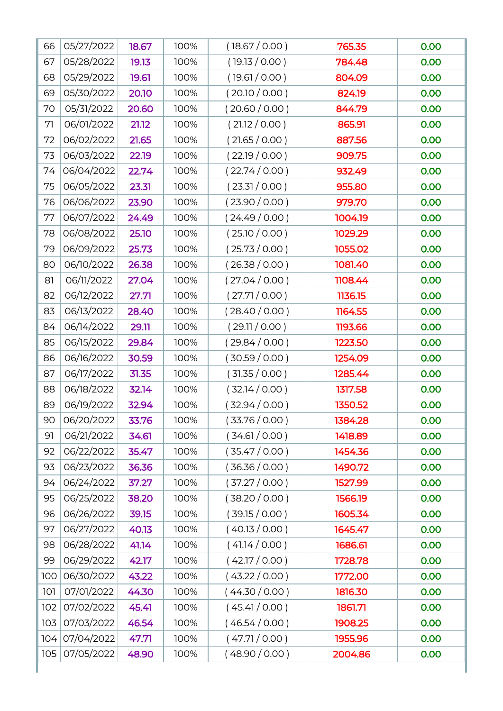| 66  | 05/27/2022 | 18.67 | 100% | (18.67 / 0.00) | 765.35  | 0.00 |
|-----|------------|-------|------|----------------|---------|------|
| 67  | 05/28/2022 | 19.13 | 100% | (19.13 / 0.00) | 784.48  | 0.00 |
| 68  | 05/29/2022 | 19.61 | 100% | (19.61 / 0.00) | 804.09  | 0.00 |
| 69  | 05/30/2022 | 20.10 | 100% | (20.10 / 0.00) | 824.19  | 0.00 |
| 70  | 05/31/2022 | 20.60 | 100% | (20.60 / 0.00) | 844.79  | 0.00 |
| 71  | 06/01/2022 | 21.12 | 100% | (21.12 / 0.00) | 865.91  | 0.00 |
| 72  | 06/02/2022 | 21.65 | 100% | (21.65 / 0.00) | 887.56  | 0.00 |
| 73  | 06/03/2022 | 22.19 | 100% | (22.19/0.00)   | 909.75  | 0.00 |
| 74  | 06/04/2022 | 22.74 | 100% | (22.74/0.00)   | 932.49  | 0.00 |
| 75  | 06/05/2022 | 23.31 | 100% | (23.31/0.00)   | 955.80  | 0.00 |
| 76  | 06/06/2022 | 23.90 | 100% | (23.90 / 0.00) | 979.70  | 0.00 |
| 77  | 06/07/2022 | 24.49 | 100% | (24.49/0.00)   | 1004.19 | 0.00 |
| 78  | 06/08/2022 | 25.10 | 100% | (25.10 / 0.00) | 1029.29 | 0.00 |
| 79  | 06/09/2022 | 25.73 | 100% | (25.73 / 0.00) | 1055.02 | 0.00 |
| 80  | 06/10/2022 | 26.38 | 100% | (26.38/0.00)   | 1081.40 | 0.00 |
| 81  | 06/11/2022 | 27.04 | 100% | (27.04 / 0.00) | 1108.44 | 0.00 |
| 82  | 06/12/2022 | 27.71 | 100% | (27.71/0.00)   | 1136.15 | 0.00 |
| 83  | 06/13/2022 | 28.40 | 100% | (28.40/0.00)   | 1164.55 | 0.00 |
| 84  | 06/14/2022 | 29.11 | 100% | (29.11/0.00)   | 1193.66 | 0.00 |
| 85  | 06/15/2022 | 29.84 | 100% | (29.84/0.00)   | 1223.50 | 0.00 |
| 86  | 06/16/2022 | 30.59 | 100% | (30.59 / 0.00) | 1254.09 | 0.00 |
| 87  | 06/17/2022 | 31.35 | 100% | (31.35 / 0.00) | 1285.44 | 0.00 |
| 88  | 06/18/2022 | 32.14 | 100% | (32.14/0.00)   | 1317.58 | 0.00 |
| 89  | 06/19/2022 | 32.94 | 100% | (32.94/0.00)   | 1350.52 | 0.00 |
| 90  | 06/20/2022 | 33.76 | 100% | (33.76/0.00)   | 1384.28 | 0.00 |
| 91  | 06/21/2022 | 34.61 | 100% | (34.61/0.00)   | 1418.89 | 0.00 |
| 92  | 06/22/2022 | 35.47 | 100% | (35.47/0.00)   | 1454.36 | 0.00 |
| 93  | 06/23/2022 | 36.36 | 100% | (36.36 / 0.00) | 1490.72 | 0.00 |
| 94  | 06/24/2022 | 37.27 | 100% | (37.27/0.00)   | 1527.99 | 0.00 |
| 95  | 06/25/2022 | 38.20 | 100% | (38.20 / 0.00) | 1566.19 | 0.00 |
| 96  | 06/26/2022 | 39.15 | 100% | (39.15 / 0.00) | 1605.34 | 0.00 |
| 97  | 06/27/2022 | 40.13 | 100% | (40.13 / 0.00) | 1645.47 | 0.00 |
| 98  | 06/28/2022 | 41.14 | 100% | (41.14/0.00)   | 1686.61 | 0.00 |
| 99  | 06/29/2022 | 42.17 | 100% | (42.17/0.00)   | 1728.78 | 0.00 |
| 100 | 06/30/2022 | 43.22 | 100% | (43.22 / 0.00) | 1772.00 | 0.00 |
| 101 | 07/01/2022 | 44.30 | 100% | (44.30/0.00)   | 1816.30 | 0.00 |
| 102 | 07/02/2022 | 45.41 | 100% | (45.41/0.00)   | 1861.71 | 0.00 |
| 103 | 07/03/2022 | 46.54 | 100% | (46.54/0.00)   | 1908.25 | 0.00 |
| 104 | 07/04/2022 | 47.71 | 100% | (47.71/0.00)   | 1955.96 | 0.00 |
| 105 | 07/05/2022 | 48.90 | 100% | (48.90/0.00)   | 2004.86 | 0.00 |
|     |            |       |      |                |         |      |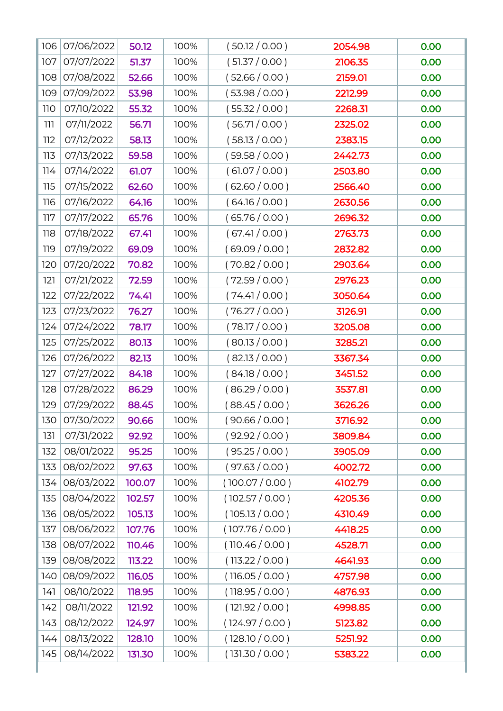| (51.37/0.00)<br>107<br>07/07/2022<br>51.37<br>0.00<br>100%<br>2106.35<br>(52.66 / 0.00)<br>07/08/2022<br>52.66<br>0.00<br>108<br>100%<br>2159.01<br>(53.98/0.00)<br>07/09/2022<br>0.00<br>109<br>53.98<br>100%<br>2212.99<br>(55.32 / 0.00)<br>07/10/2022<br>0.00<br>110<br>55.32<br>100%<br>2268.31<br>(56.71/0.00)<br>07/11/2022<br>0.00<br>56.71<br>100%<br>2325.02<br>ווו<br>(58.13 / 0.00)<br>07/12/2022<br>58.13<br>100%<br>2383.15<br>0.00<br>112<br>(59.58 / 0.00)<br>07/13/2022<br>59.58<br>100%<br>2442.73<br>0.00<br>113<br>(61.07 / 0.00)<br>07/14/2022<br>61.07<br>0.00<br>114<br>100%<br>2503.80<br>(62.60 / 0.00)<br>07/15/2022<br>100%<br>0.00<br>115<br>62.60<br>2566.40<br>(64.16/0.00)<br>07/16/2022<br>116<br>64.16<br>100%<br>2630.56<br>0.00<br>(65.76 / 0.00)<br>07/17/2022<br>65.76<br>100%<br>2696.32<br>0.00<br>117<br>(67.41/0.00)<br>07/18/2022<br>67.41<br>100%<br>2763.73<br>0.00<br>118<br>(69.09 / 0.00)<br>119<br>07/19/2022<br>69.09<br>100%<br>2832.82<br>0.00<br>(70.82 / 0.00)<br>07/20/2022<br>70.82<br>100%<br>2903.64<br>0.00<br>120<br>(72.59 / 0.00)<br>121<br>07/21/2022<br>72.59<br>100%<br>0.00<br>2976.23<br>(74.41/0.00)<br>07/22/2022<br>74.41<br>3050.64<br>0.00<br>122<br>100%<br>(76.27 / 0.00)<br>07/23/2022<br>76.27<br>3126.91<br>0.00<br>123<br>100%<br>(78.17 / 0.00)<br>0.00<br>124<br>07/24/2022<br>78.17<br>100%<br>3205.08<br>(80.13 / 0.00)<br>125<br>07/25/2022<br>80.13<br>100%<br>3285.21<br>0.00<br>(82.13 / 0.00)<br>07/26/2022<br>82.13<br>100%<br>3367.34<br>0.00<br>126<br>(84.18/0.00)<br>07/27/2022<br>84.18<br>3451.52<br>0.00<br>127<br>100%<br>(86.29 / 0.00)<br>07/28/2022<br>86.29<br>128<br>100%<br>3537.81<br>0.00<br>(88.45/0.00)<br>07/29/2022<br>129<br>88.45<br>100%<br>3626.26<br>0.00<br>130<br>07/30/2022<br>90.66<br>100%<br>( 90.66 / 0.00 )<br>3716.92<br>0.00<br>(92.92 / 0.00)<br>131<br>07/31/2022<br>92.92<br>100%<br>3809.84<br>0.00<br>(95.25 / 0.00)<br>08/01/2022<br>95.25<br>100%<br>3905.09<br>0.00<br>132<br>(97.63 / 0.00)<br>133<br>08/02/2022<br>97.63<br>100%<br>4002.72<br>0.00<br>08/03/2022<br>100%<br>(100.07 / 0.00)<br>0.00<br>134<br>100.07<br>4102.79<br>08/04/2022<br>(102.57 / 0.00)<br>0.00<br>102.57<br>100%<br>4205.36<br>135<br>08/05/2022<br>(105.13 / 0.00)<br>4310.49<br>0.00<br>136<br>105.13<br>100%<br>08/06/2022<br>(107.76 / 0.00)<br>0.00<br>137<br>107.76<br>100%<br>4418.25<br>08/07/2022<br>(110.46 / 0.00)<br>110.46<br>100%<br>4528.71<br>0.00<br>138<br>08/08/2022<br>(113.22 / 0.00)<br>139<br>113.22<br>100%<br>4641.93<br>0.00<br>08/09/2022<br>(116.05 / 0.00)<br>116.05<br>100%<br>4757.98<br>0.00<br>140<br>(118.95 / 0.00)<br>08/10/2022<br>118.95<br>0.00<br>100%<br>4876.93<br>141<br>(121.92 / 0.00)<br>08/11/2022<br>142<br>121.92<br>100%<br>4998.85<br>0.00<br>08/12/2022<br>(124.97/0.00)<br>143<br>124.97<br>100%<br>0.00<br>5123.82<br>(128.10 / 0.00)<br>08/13/2022<br>128.10<br>100%<br>5251.92<br>0.00<br>144<br>08/14/2022<br>(131.30 / 0.00)<br>0.00<br>145<br>131.30<br>100%<br>5383.22 | 106 | 07/06/2022 | 50.12 | 100% | (50.12 / 0.00) | 2054.98 | 0.00 |
|---------------------------------------------------------------------------------------------------------------------------------------------------------------------------------------------------------------------------------------------------------------------------------------------------------------------------------------------------------------------------------------------------------------------------------------------------------------------------------------------------------------------------------------------------------------------------------------------------------------------------------------------------------------------------------------------------------------------------------------------------------------------------------------------------------------------------------------------------------------------------------------------------------------------------------------------------------------------------------------------------------------------------------------------------------------------------------------------------------------------------------------------------------------------------------------------------------------------------------------------------------------------------------------------------------------------------------------------------------------------------------------------------------------------------------------------------------------------------------------------------------------------------------------------------------------------------------------------------------------------------------------------------------------------------------------------------------------------------------------------------------------------------------------------------------------------------------------------------------------------------------------------------------------------------------------------------------------------------------------------------------------------------------------------------------------------------------------------------------------------------------------------------------------------------------------------------------------------------------------------------------------------------------------------------------------------------------------------------------------------------------------------------------------------------------------------------------------------------------------------------------------------------------------------------------------------------------------------------------------------------------------------------------------------------------------------------------------------------------------------------------------------------------------------------------------------------------------------------------------------------------------------------------------------------------------------------------------------------------------------------------------------------------------------------|-----|------------|-------|------|----------------|---------|------|
|                                                                                                                                                                                                                                                                                                                                                                                                                                                                                                                                                                                                                                                                                                                                                                                                                                                                                                                                                                                                                                                                                                                                                                                                                                                                                                                                                                                                                                                                                                                                                                                                                                                                                                                                                                                                                                                                                                                                                                                                                                                                                                                                                                                                                                                                                                                                                                                                                                                                                                                                                                                                                                                                                                                                                                                                                                                                                                                                                                                                                                                   |     |            |       |      |                |         |      |
|                                                                                                                                                                                                                                                                                                                                                                                                                                                                                                                                                                                                                                                                                                                                                                                                                                                                                                                                                                                                                                                                                                                                                                                                                                                                                                                                                                                                                                                                                                                                                                                                                                                                                                                                                                                                                                                                                                                                                                                                                                                                                                                                                                                                                                                                                                                                                                                                                                                                                                                                                                                                                                                                                                                                                                                                                                                                                                                                                                                                                                                   |     |            |       |      |                |         |      |
|                                                                                                                                                                                                                                                                                                                                                                                                                                                                                                                                                                                                                                                                                                                                                                                                                                                                                                                                                                                                                                                                                                                                                                                                                                                                                                                                                                                                                                                                                                                                                                                                                                                                                                                                                                                                                                                                                                                                                                                                                                                                                                                                                                                                                                                                                                                                                                                                                                                                                                                                                                                                                                                                                                                                                                                                                                                                                                                                                                                                                                                   |     |            |       |      |                |         |      |
|                                                                                                                                                                                                                                                                                                                                                                                                                                                                                                                                                                                                                                                                                                                                                                                                                                                                                                                                                                                                                                                                                                                                                                                                                                                                                                                                                                                                                                                                                                                                                                                                                                                                                                                                                                                                                                                                                                                                                                                                                                                                                                                                                                                                                                                                                                                                                                                                                                                                                                                                                                                                                                                                                                                                                                                                                                                                                                                                                                                                                                                   |     |            |       |      |                |         |      |
|                                                                                                                                                                                                                                                                                                                                                                                                                                                                                                                                                                                                                                                                                                                                                                                                                                                                                                                                                                                                                                                                                                                                                                                                                                                                                                                                                                                                                                                                                                                                                                                                                                                                                                                                                                                                                                                                                                                                                                                                                                                                                                                                                                                                                                                                                                                                                                                                                                                                                                                                                                                                                                                                                                                                                                                                                                                                                                                                                                                                                                                   |     |            |       |      |                |         |      |
|                                                                                                                                                                                                                                                                                                                                                                                                                                                                                                                                                                                                                                                                                                                                                                                                                                                                                                                                                                                                                                                                                                                                                                                                                                                                                                                                                                                                                                                                                                                                                                                                                                                                                                                                                                                                                                                                                                                                                                                                                                                                                                                                                                                                                                                                                                                                                                                                                                                                                                                                                                                                                                                                                                                                                                                                                                                                                                                                                                                                                                                   |     |            |       |      |                |         |      |
|                                                                                                                                                                                                                                                                                                                                                                                                                                                                                                                                                                                                                                                                                                                                                                                                                                                                                                                                                                                                                                                                                                                                                                                                                                                                                                                                                                                                                                                                                                                                                                                                                                                                                                                                                                                                                                                                                                                                                                                                                                                                                                                                                                                                                                                                                                                                                                                                                                                                                                                                                                                                                                                                                                                                                                                                                                                                                                                                                                                                                                                   |     |            |       |      |                |         |      |
|                                                                                                                                                                                                                                                                                                                                                                                                                                                                                                                                                                                                                                                                                                                                                                                                                                                                                                                                                                                                                                                                                                                                                                                                                                                                                                                                                                                                                                                                                                                                                                                                                                                                                                                                                                                                                                                                                                                                                                                                                                                                                                                                                                                                                                                                                                                                                                                                                                                                                                                                                                                                                                                                                                                                                                                                                                                                                                                                                                                                                                                   |     |            |       |      |                |         |      |
|                                                                                                                                                                                                                                                                                                                                                                                                                                                                                                                                                                                                                                                                                                                                                                                                                                                                                                                                                                                                                                                                                                                                                                                                                                                                                                                                                                                                                                                                                                                                                                                                                                                                                                                                                                                                                                                                                                                                                                                                                                                                                                                                                                                                                                                                                                                                                                                                                                                                                                                                                                                                                                                                                                                                                                                                                                                                                                                                                                                                                                                   |     |            |       |      |                |         |      |
|                                                                                                                                                                                                                                                                                                                                                                                                                                                                                                                                                                                                                                                                                                                                                                                                                                                                                                                                                                                                                                                                                                                                                                                                                                                                                                                                                                                                                                                                                                                                                                                                                                                                                                                                                                                                                                                                                                                                                                                                                                                                                                                                                                                                                                                                                                                                                                                                                                                                                                                                                                                                                                                                                                                                                                                                                                                                                                                                                                                                                                                   |     |            |       |      |                |         |      |
|                                                                                                                                                                                                                                                                                                                                                                                                                                                                                                                                                                                                                                                                                                                                                                                                                                                                                                                                                                                                                                                                                                                                                                                                                                                                                                                                                                                                                                                                                                                                                                                                                                                                                                                                                                                                                                                                                                                                                                                                                                                                                                                                                                                                                                                                                                                                                                                                                                                                                                                                                                                                                                                                                                                                                                                                                                                                                                                                                                                                                                                   |     |            |       |      |                |         |      |
|                                                                                                                                                                                                                                                                                                                                                                                                                                                                                                                                                                                                                                                                                                                                                                                                                                                                                                                                                                                                                                                                                                                                                                                                                                                                                                                                                                                                                                                                                                                                                                                                                                                                                                                                                                                                                                                                                                                                                                                                                                                                                                                                                                                                                                                                                                                                                                                                                                                                                                                                                                                                                                                                                                                                                                                                                                                                                                                                                                                                                                                   |     |            |       |      |                |         |      |
|                                                                                                                                                                                                                                                                                                                                                                                                                                                                                                                                                                                                                                                                                                                                                                                                                                                                                                                                                                                                                                                                                                                                                                                                                                                                                                                                                                                                                                                                                                                                                                                                                                                                                                                                                                                                                                                                                                                                                                                                                                                                                                                                                                                                                                                                                                                                                                                                                                                                                                                                                                                                                                                                                                                                                                                                                                                                                                                                                                                                                                                   |     |            |       |      |                |         |      |
|                                                                                                                                                                                                                                                                                                                                                                                                                                                                                                                                                                                                                                                                                                                                                                                                                                                                                                                                                                                                                                                                                                                                                                                                                                                                                                                                                                                                                                                                                                                                                                                                                                                                                                                                                                                                                                                                                                                                                                                                                                                                                                                                                                                                                                                                                                                                                                                                                                                                                                                                                                                                                                                                                                                                                                                                                                                                                                                                                                                                                                                   |     |            |       |      |                |         |      |
|                                                                                                                                                                                                                                                                                                                                                                                                                                                                                                                                                                                                                                                                                                                                                                                                                                                                                                                                                                                                                                                                                                                                                                                                                                                                                                                                                                                                                                                                                                                                                                                                                                                                                                                                                                                                                                                                                                                                                                                                                                                                                                                                                                                                                                                                                                                                                                                                                                                                                                                                                                                                                                                                                                                                                                                                                                                                                                                                                                                                                                                   |     |            |       |      |                |         |      |
|                                                                                                                                                                                                                                                                                                                                                                                                                                                                                                                                                                                                                                                                                                                                                                                                                                                                                                                                                                                                                                                                                                                                                                                                                                                                                                                                                                                                                                                                                                                                                                                                                                                                                                                                                                                                                                                                                                                                                                                                                                                                                                                                                                                                                                                                                                                                                                                                                                                                                                                                                                                                                                                                                                                                                                                                                                                                                                                                                                                                                                                   |     |            |       |      |                |         |      |
|                                                                                                                                                                                                                                                                                                                                                                                                                                                                                                                                                                                                                                                                                                                                                                                                                                                                                                                                                                                                                                                                                                                                                                                                                                                                                                                                                                                                                                                                                                                                                                                                                                                                                                                                                                                                                                                                                                                                                                                                                                                                                                                                                                                                                                                                                                                                                                                                                                                                                                                                                                                                                                                                                                                                                                                                                                                                                                                                                                                                                                                   |     |            |       |      |                |         |      |
|                                                                                                                                                                                                                                                                                                                                                                                                                                                                                                                                                                                                                                                                                                                                                                                                                                                                                                                                                                                                                                                                                                                                                                                                                                                                                                                                                                                                                                                                                                                                                                                                                                                                                                                                                                                                                                                                                                                                                                                                                                                                                                                                                                                                                                                                                                                                                                                                                                                                                                                                                                                                                                                                                                                                                                                                                                                                                                                                                                                                                                                   |     |            |       |      |                |         |      |
|                                                                                                                                                                                                                                                                                                                                                                                                                                                                                                                                                                                                                                                                                                                                                                                                                                                                                                                                                                                                                                                                                                                                                                                                                                                                                                                                                                                                                                                                                                                                                                                                                                                                                                                                                                                                                                                                                                                                                                                                                                                                                                                                                                                                                                                                                                                                                                                                                                                                                                                                                                                                                                                                                                                                                                                                                                                                                                                                                                                                                                                   |     |            |       |      |                |         |      |
|                                                                                                                                                                                                                                                                                                                                                                                                                                                                                                                                                                                                                                                                                                                                                                                                                                                                                                                                                                                                                                                                                                                                                                                                                                                                                                                                                                                                                                                                                                                                                                                                                                                                                                                                                                                                                                                                                                                                                                                                                                                                                                                                                                                                                                                                                                                                                                                                                                                                                                                                                                                                                                                                                                                                                                                                                                                                                                                                                                                                                                                   |     |            |       |      |                |         |      |
|                                                                                                                                                                                                                                                                                                                                                                                                                                                                                                                                                                                                                                                                                                                                                                                                                                                                                                                                                                                                                                                                                                                                                                                                                                                                                                                                                                                                                                                                                                                                                                                                                                                                                                                                                                                                                                                                                                                                                                                                                                                                                                                                                                                                                                                                                                                                                                                                                                                                                                                                                                                                                                                                                                                                                                                                                                                                                                                                                                                                                                                   |     |            |       |      |                |         |      |
|                                                                                                                                                                                                                                                                                                                                                                                                                                                                                                                                                                                                                                                                                                                                                                                                                                                                                                                                                                                                                                                                                                                                                                                                                                                                                                                                                                                                                                                                                                                                                                                                                                                                                                                                                                                                                                                                                                                                                                                                                                                                                                                                                                                                                                                                                                                                                                                                                                                                                                                                                                                                                                                                                                                                                                                                                                                                                                                                                                                                                                                   |     |            |       |      |                |         |      |
|                                                                                                                                                                                                                                                                                                                                                                                                                                                                                                                                                                                                                                                                                                                                                                                                                                                                                                                                                                                                                                                                                                                                                                                                                                                                                                                                                                                                                                                                                                                                                                                                                                                                                                                                                                                                                                                                                                                                                                                                                                                                                                                                                                                                                                                                                                                                                                                                                                                                                                                                                                                                                                                                                                                                                                                                                                                                                                                                                                                                                                                   |     |            |       |      |                |         |      |
|                                                                                                                                                                                                                                                                                                                                                                                                                                                                                                                                                                                                                                                                                                                                                                                                                                                                                                                                                                                                                                                                                                                                                                                                                                                                                                                                                                                                                                                                                                                                                                                                                                                                                                                                                                                                                                                                                                                                                                                                                                                                                                                                                                                                                                                                                                                                                                                                                                                                                                                                                                                                                                                                                                                                                                                                                                                                                                                                                                                                                                                   |     |            |       |      |                |         |      |
|                                                                                                                                                                                                                                                                                                                                                                                                                                                                                                                                                                                                                                                                                                                                                                                                                                                                                                                                                                                                                                                                                                                                                                                                                                                                                                                                                                                                                                                                                                                                                                                                                                                                                                                                                                                                                                                                                                                                                                                                                                                                                                                                                                                                                                                                                                                                                                                                                                                                                                                                                                                                                                                                                                                                                                                                                                                                                                                                                                                                                                                   |     |            |       |      |                |         |      |
|                                                                                                                                                                                                                                                                                                                                                                                                                                                                                                                                                                                                                                                                                                                                                                                                                                                                                                                                                                                                                                                                                                                                                                                                                                                                                                                                                                                                                                                                                                                                                                                                                                                                                                                                                                                                                                                                                                                                                                                                                                                                                                                                                                                                                                                                                                                                                                                                                                                                                                                                                                                                                                                                                                                                                                                                                                                                                                                                                                                                                                                   |     |            |       |      |                |         |      |
|                                                                                                                                                                                                                                                                                                                                                                                                                                                                                                                                                                                                                                                                                                                                                                                                                                                                                                                                                                                                                                                                                                                                                                                                                                                                                                                                                                                                                                                                                                                                                                                                                                                                                                                                                                                                                                                                                                                                                                                                                                                                                                                                                                                                                                                                                                                                                                                                                                                                                                                                                                                                                                                                                                                                                                                                                                                                                                                                                                                                                                                   |     |            |       |      |                |         |      |
|                                                                                                                                                                                                                                                                                                                                                                                                                                                                                                                                                                                                                                                                                                                                                                                                                                                                                                                                                                                                                                                                                                                                                                                                                                                                                                                                                                                                                                                                                                                                                                                                                                                                                                                                                                                                                                                                                                                                                                                                                                                                                                                                                                                                                                                                                                                                                                                                                                                                                                                                                                                                                                                                                                                                                                                                                                                                                                                                                                                                                                                   |     |            |       |      |                |         |      |
|                                                                                                                                                                                                                                                                                                                                                                                                                                                                                                                                                                                                                                                                                                                                                                                                                                                                                                                                                                                                                                                                                                                                                                                                                                                                                                                                                                                                                                                                                                                                                                                                                                                                                                                                                                                                                                                                                                                                                                                                                                                                                                                                                                                                                                                                                                                                                                                                                                                                                                                                                                                                                                                                                                                                                                                                                                                                                                                                                                                                                                                   |     |            |       |      |                |         |      |
|                                                                                                                                                                                                                                                                                                                                                                                                                                                                                                                                                                                                                                                                                                                                                                                                                                                                                                                                                                                                                                                                                                                                                                                                                                                                                                                                                                                                                                                                                                                                                                                                                                                                                                                                                                                                                                                                                                                                                                                                                                                                                                                                                                                                                                                                                                                                                                                                                                                                                                                                                                                                                                                                                                                                                                                                                                                                                                                                                                                                                                                   |     |            |       |      |                |         |      |
|                                                                                                                                                                                                                                                                                                                                                                                                                                                                                                                                                                                                                                                                                                                                                                                                                                                                                                                                                                                                                                                                                                                                                                                                                                                                                                                                                                                                                                                                                                                                                                                                                                                                                                                                                                                                                                                                                                                                                                                                                                                                                                                                                                                                                                                                                                                                                                                                                                                                                                                                                                                                                                                                                                                                                                                                                                                                                                                                                                                                                                                   |     |            |       |      |                |         |      |
|                                                                                                                                                                                                                                                                                                                                                                                                                                                                                                                                                                                                                                                                                                                                                                                                                                                                                                                                                                                                                                                                                                                                                                                                                                                                                                                                                                                                                                                                                                                                                                                                                                                                                                                                                                                                                                                                                                                                                                                                                                                                                                                                                                                                                                                                                                                                                                                                                                                                                                                                                                                                                                                                                                                                                                                                                                                                                                                                                                                                                                                   |     |            |       |      |                |         |      |
|                                                                                                                                                                                                                                                                                                                                                                                                                                                                                                                                                                                                                                                                                                                                                                                                                                                                                                                                                                                                                                                                                                                                                                                                                                                                                                                                                                                                                                                                                                                                                                                                                                                                                                                                                                                                                                                                                                                                                                                                                                                                                                                                                                                                                                                                                                                                                                                                                                                                                                                                                                                                                                                                                                                                                                                                                                                                                                                                                                                                                                                   |     |            |       |      |                |         |      |
|                                                                                                                                                                                                                                                                                                                                                                                                                                                                                                                                                                                                                                                                                                                                                                                                                                                                                                                                                                                                                                                                                                                                                                                                                                                                                                                                                                                                                                                                                                                                                                                                                                                                                                                                                                                                                                                                                                                                                                                                                                                                                                                                                                                                                                                                                                                                                                                                                                                                                                                                                                                                                                                                                                                                                                                                                                                                                                                                                                                                                                                   |     |            |       |      |                |         |      |
|                                                                                                                                                                                                                                                                                                                                                                                                                                                                                                                                                                                                                                                                                                                                                                                                                                                                                                                                                                                                                                                                                                                                                                                                                                                                                                                                                                                                                                                                                                                                                                                                                                                                                                                                                                                                                                                                                                                                                                                                                                                                                                                                                                                                                                                                                                                                                                                                                                                                                                                                                                                                                                                                                                                                                                                                                                                                                                                                                                                                                                                   |     |            |       |      |                |         |      |
|                                                                                                                                                                                                                                                                                                                                                                                                                                                                                                                                                                                                                                                                                                                                                                                                                                                                                                                                                                                                                                                                                                                                                                                                                                                                                                                                                                                                                                                                                                                                                                                                                                                                                                                                                                                                                                                                                                                                                                                                                                                                                                                                                                                                                                                                                                                                                                                                                                                                                                                                                                                                                                                                                                                                                                                                                                                                                                                                                                                                                                                   |     |            |       |      |                |         |      |
|                                                                                                                                                                                                                                                                                                                                                                                                                                                                                                                                                                                                                                                                                                                                                                                                                                                                                                                                                                                                                                                                                                                                                                                                                                                                                                                                                                                                                                                                                                                                                                                                                                                                                                                                                                                                                                                                                                                                                                                                                                                                                                                                                                                                                                                                                                                                                                                                                                                                                                                                                                                                                                                                                                                                                                                                                                                                                                                                                                                                                                                   |     |            |       |      |                |         |      |
|                                                                                                                                                                                                                                                                                                                                                                                                                                                                                                                                                                                                                                                                                                                                                                                                                                                                                                                                                                                                                                                                                                                                                                                                                                                                                                                                                                                                                                                                                                                                                                                                                                                                                                                                                                                                                                                                                                                                                                                                                                                                                                                                                                                                                                                                                                                                                                                                                                                                                                                                                                                                                                                                                                                                                                                                                                                                                                                                                                                                                                                   |     |            |       |      |                |         |      |
|                                                                                                                                                                                                                                                                                                                                                                                                                                                                                                                                                                                                                                                                                                                                                                                                                                                                                                                                                                                                                                                                                                                                                                                                                                                                                                                                                                                                                                                                                                                                                                                                                                                                                                                                                                                                                                                                                                                                                                                                                                                                                                                                                                                                                                                                                                                                                                                                                                                                                                                                                                                                                                                                                                                                                                                                                                                                                                                                                                                                                                                   |     |            |       |      |                |         |      |